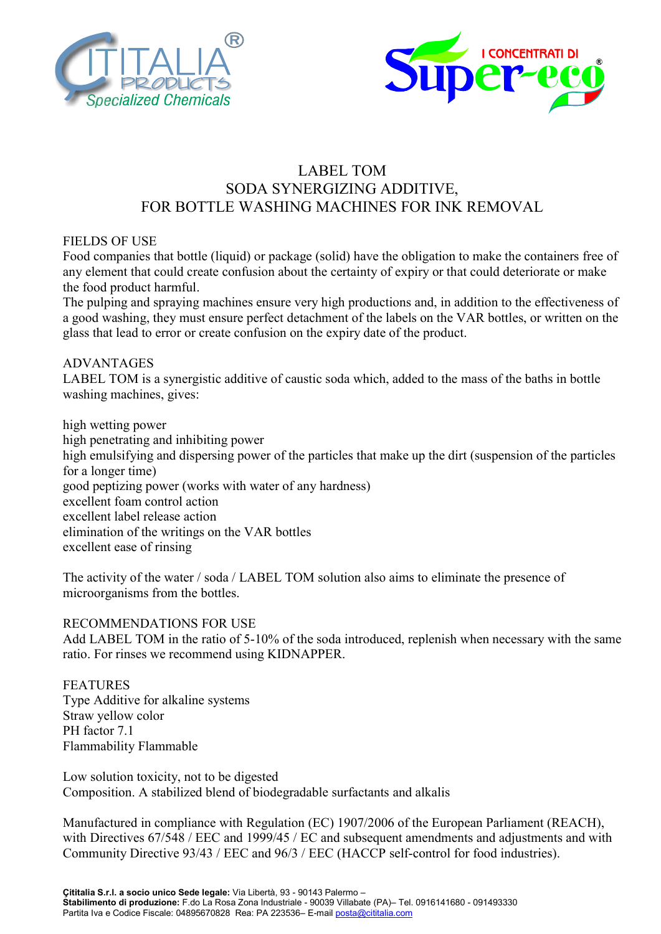



## LABEL TOM SODA SYNERGIZING ADDITIVE, FOR BOTTLE WASHING MACHINES FOR INK REMOVAL

## FIELDS OF USE

Food companies that bottle (liquid) or package (solid) have the obligation to make the containers free of any element that could create confusion about the certainty of expiry or that could deteriorate or make the food product harmful.

The pulping and spraying machines ensure very high productions and, in addition to the effectiveness of a good washing, they must ensure perfect detachment of the labels on the VAR bottles, or written on the glass that lead to error or create confusion on the expiry date of the product.

## ADVANTAGES

LABEL TOM is a synergistic additive of caustic soda which, added to the mass of the baths in bottle washing machines, gives:

high wetting power high penetrating and inhibiting power high emulsifying and dispersing power of the particles that make up the dirt (suspension of the particles for a longer time) good peptizing power (works with water of any hardness) excellent foam control action excellent label release action elimination of the writings on the VAR bottles excellent ease of rinsing

The activity of the water / soda / LABEL TOM solution also aims to eliminate the presence of microorganisms from the bottles.

## RECOMMENDATIONS FOR USE

Add LABEL TOM in the ratio of 5-10% of the soda introduced, replenish when necessary with the same ratio. For rinses we recommend using KIDNAPPER.

FEATURES Type Additive for alkaline systems Straw yellow color PH factor 7.1 Flammability Flammable

Low solution toxicity, not to be digested Composition. A stabilized blend of biodegradable surfactants and alkalis

Manufactured in compliance with Regulation (EC) 1907/2006 of the European Parliament (REACH), with Directives 67/548 / EEC and 1999/45 / EC and subsequent amendments and adjustments and with Community Directive 93/43 / EEC and 96/3 / EEC (HACCP self-control for food industries).